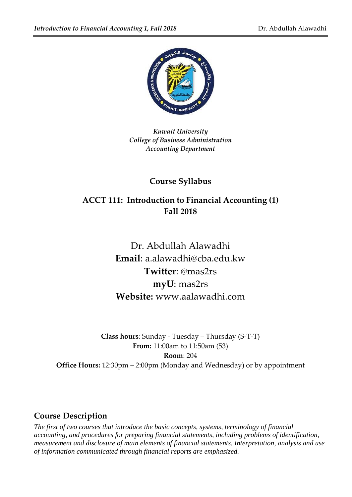

*Kuwait University College of Business Administration Accounting Department*

# **Course Syllabus**

# **ACCT 111: Introduction to Financial Accounting (1) Fall 2018**

Dr. Abdullah Alawadhi **Email**: a.alawadhi@cba.edu.kw **Twitter**: @mas2rs **myU**: mas2rs **Website:** www.aalawadhi.com

**Class hours**: Sunday - Tuesday – Thursday (S-T-T) **From:** 11:00am to 11:50am (53) **Room**: 204 **Office Hours:** 12:30pm – 2:00pm (Monday and Wednesday) or by appointment

### **Course Description**

*The first of two courses that introduce the basic concepts, systems, terminology of financial accounting, and procedures for preparing financial statements, including problems of identification, measurement and disclosure of main elements of financial statements. Interpretation, analysis and use of information communicated through financial reports are emphasized.*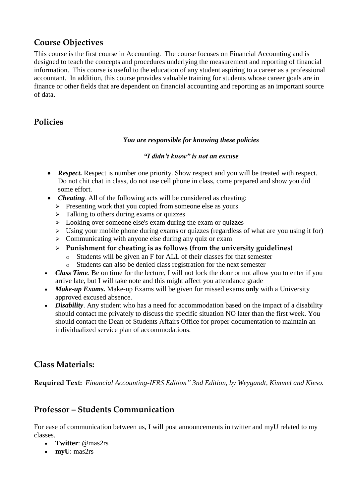# **Course Objectives**

This course is the first course in Accounting. The course focuses on Financial Accounting and is designed to teach the concepts and procedures underlying the measurement and reporting of financial information. This course is useful to the education of any student aspiring to a career as a professional accountant. In addition, this course provides valuable training for students whose career goals are in finance or other fields that are dependent on financial accounting and reporting as an important source of data.

# **Policies**

#### *You are responsible for knowing these policies*

#### *"I didn't know" is not an excuse*

- **Respect.** Respect is number one priority. Show respect and you will be treated with respect. Do not chit chat in class, do not use cell phone in class, come prepared and show you did some effort.
- *Cheating*. All of the following acts will be considered as cheating:
	- $\triangleright$  Presenting work that you copied from someone else as yours
	- $\triangleright$  Talking to others during exams or quizzes
	- $\geq$  Looking over someone else's exam during the exam or quizzes
	- $\triangleright$  Using your mobile phone during exams or quizzes (regardless of what are you using it for)
	- $\triangleright$  Communicating with anyone else during any quiz or exam
	- **Punishment for cheating is as follows (from the university guidelines)**
		- Students will be given an F for ALL of their classes for that semester
		- o Students can also be denied class registration for the next semester
- *Class Time*. Be on time for the lecture, I will not lock the door or not allow you to enter if you arrive late, but I will take note and this might affect you attendance grade
- *Make-up Exams.* Make-up Exams will be given for missed exams **only** with a University approved excused absence.
- *Disability*. Any student who has a need for accommodation based on the impact of a disability should contact me privately to discuss the specific situation NO later than the first week. You should contact the Dean of Students Affairs Office for proper documentation to maintain an individualized service plan of accommodations.

### **Class Materials:**

**Required Text:** *Financial Accounting-IFRS Edition" 3nd Edition, by Weygandt, Kimmel and Kieso.*

### **Professor – Students Communication**

For ease of communication between us, I will post announcements in twitter and myU related to my classes.

- **Twitter**: @mas2rs
- **myU**: mas2rs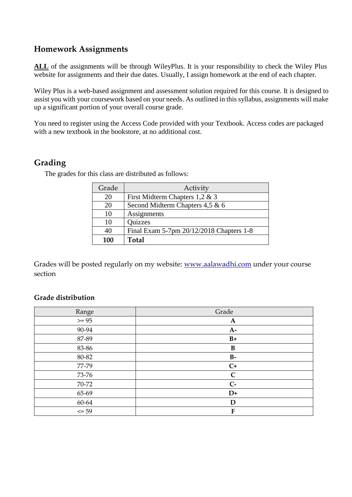#### **Homework Assignments**

ALL of the assignments will be through WileyPlus. It is your responsibility to check the Wiley Plus website for assignments and their due dates. Usually, I assign homework at the end of each chapter.

Wiley Plus is a web-based assignment and assessment solution required for this course. It is designed to assist you with your coursework based on your needs. As outlined in this syllabus, assignments will make up a significant portion of your overall course grade.

You need to register using the Access Code provided with your Textbook. Access codes are packaged with a new textbook in the bookstore, at no additional cost.

# **Grading**

| Grade | Activity                                 |
|-------|------------------------------------------|
| 20    | First Midterm Chapters $1,2 \& 3$        |
| 20    | Second Midterm Chapters 4,5 & 6          |
| 10    | Assignments                              |
| 10    | <b>Quizzes</b>                           |
| 40    | Final Exam 5-7pm 20/12/2018 Chapters 1-8 |
| 100   | Total                                    |

The grades for this class are distributed as follows:

Grades will be posted regularly on my website: [www.aalawadhi.com](http://www.aalawadhi.com/) under your course section

#### **Grade distribution**

| Range     | Grade        |
|-----------|--------------|
| $>= 95$   | $\mathbf{A}$ |
| 90-94     | $A-$         |
| 87-89     | $B+$         |
| 83-86     | B            |
| 80-82     | $B-$         |
| 77-79     | $C+$         |
| 73-76     | $\mathsf{C}$ |
| 70-72     | $C-$         |
| 65-69     | $D+$         |
| 60-64     | D            |
| $\leq 59$ | F            |